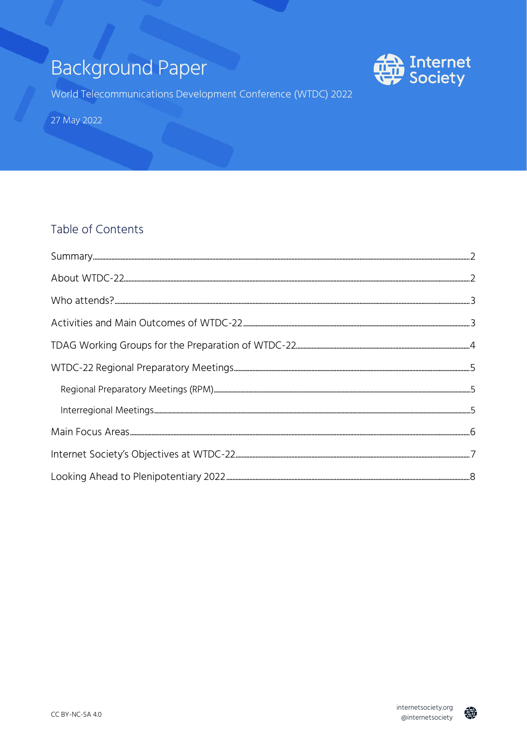# **Background Paper**



World Telecommunications Development Conference (WTDC) 2022

27 May 2022

#### Table of Contents

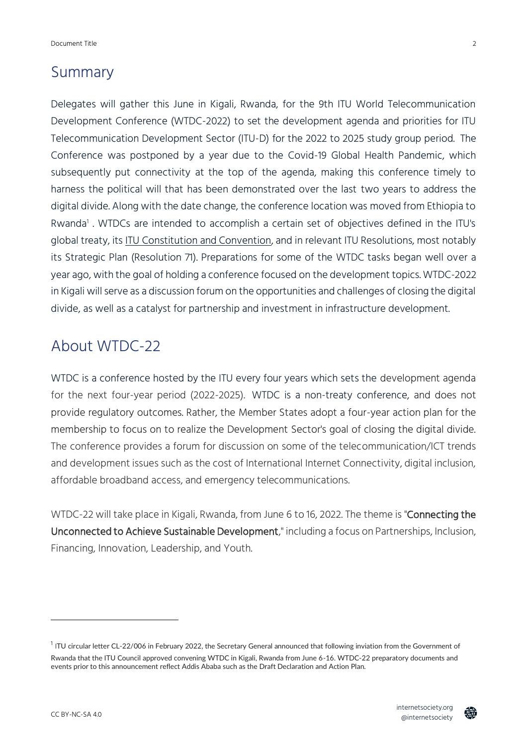#### <span id="page-1-0"></span>Summary

Delegates will gather this June in Kigali, Rwanda, for the 9th ITU World Telecommunication Development Conference (WTDC-2022) to set the development agenda and priorities for ITU Telecommunication Development Sector (ITU-D) for the 2022 to 2025 study group period. The Conference was postponed by a year due to the Covid-19 Global Health Pandemic, which subsequently put connectivity at the top of the agenda, making this conference timely to harness the political will that has been demonstrated over the last two years to address the digital divide. Along with the date change, the conference location was moved from Ethiopia to Rwanda 1 . WTDCs are intended to accomplish a certain set of objectives defined in the ITU's global treaty, its [ITU Constitution and Convention,](http://search.itu.int/history/HistoryDigitalCollectionDocLibrary/5.21.61.en.100.pdf) and in relevant ITU Resolutions, most notably its Strategic Plan (Resolution 71). Preparations for some of the WTDC tasks began well over a year ago, with the goal of holding a conference focused on the development topics. WTDC-2022 in Kigali will serve as a discussion forum on the opportunities and challenges of closing the digital divide, as well as a catalyst for partnership and investment in infrastructure development.

### <span id="page-1-1"></span>About WTDC-22

WTDC is a conference hosted by the ITU every four years which sets the development agenda for the next four-year period (2022-2025). WTDC is a non-treaty conference, and does not provide regulatory outcomes. Rather, the Member States adopt a four-year action plan for the membership to focus on to realize the Development Sector's goal of closing the digital divide. The conference provides a forum for discussion on some of the telecommunication/ICT trends and development issues such as the cost of International Internet Connectivity, digital inclusion, affordable broadband access, and emergency telecommunications.

WTDC-22 will take place in Kigali, Rwanda, from June 6 to 16, 2022. The theme is "Connecting the Unconnected to Achieve Sustainable Development," including a focus on Partnerships, Inclusion, Financing, Innovation, Leadership, and Youth.



 $^1$  ITU circular letter CL-22/006 in February 2022, the Secretary General announced that following inviation from the Government of Rwanda that the ITU Council approved convening WTDC in Kigali, Rwanda from June 6-16. WTDC-22 preparatory documents and events prior to this announcement reflect Addis Ababa such as the Draft Declaration and Action Plan.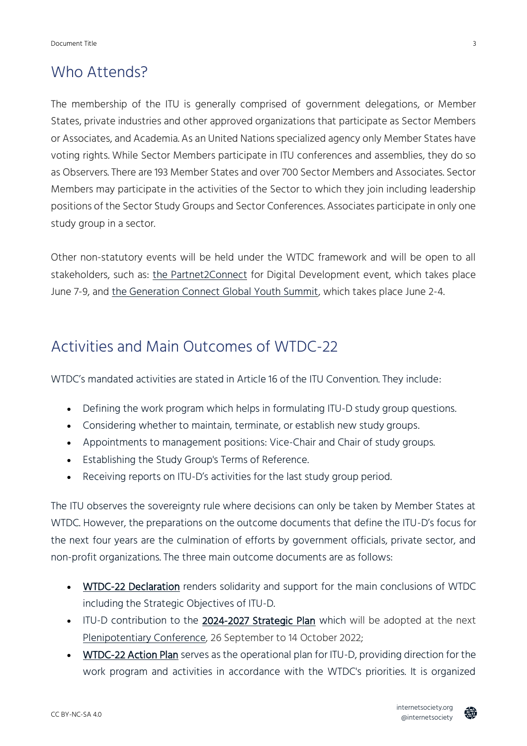#### <span id="page-2-0"></span>Who Attends?

The membership of the ITU is generally comprised of government delegations, or Member States, private industries and other approved organizations that participate as Sector Members or Associates, and Academia. As an United Nations specialized agency only Member States have voting rights. While Sector Members participate in ITU conferences and assemblies, they do so as Observers. There are 193 Member States and over 700 Sector Members and Associates. Sector Members may participate in the activities of the Sector to which they join including leadership positions of the Sector Study Groups and Sector Conferences. Associates participate in only one study group in a sector.

Other non-statutory events will be held under the WTDC framework and will be open to all stakeholders, such as: [the Partnet2Connect](https://www.internetsociety.org/issues/access/partner2connect/) for Digital Development event, which takes place June 7-9, and [the Generation Connect Global Youth Summit,](https://www.itu.int/generationconnect/generation-connect-youth-summit-2022/) which takes place June 2-4.

### <span id="page-2-1"></span>Activities and Main Outcomes of WTDC-22

WTDC's mandated activities are stated in Article 16 of the ITU Convention. They include:

- Defining the work program which helps in formulating ITU-D study group questions.
- Considering whether to maintain, terminate, or establish new study groups.
- Appointments to management positions: Vice-Chair and Chair of study groups.
- Establishing the Study Group's Terms of Reference.
- Receiving reports on ITU-D's activities for the last study group period.

The ITU observes the sovereignty rule where decisions can only be taken by Member States at WTDC. However, the preparations on the outcome documents that define the ITU-D's focus for the next four years are the culmination of efforts by government officials, private sector, and non-profit organizations. The three main outcome documents are as follows:

- [WTDC-22 Declaration](https://www.itu.int/md/D18-TDAG27.RDTP-C-0052/) renders solidarity and support for the main conclusions of WTDC including the Strategic Objectives of ITU-D.
- ITU-D contribution to the [2024-2027 Strategic Plan](https://www.itu.int/md/D18-TDAG27.SOP-C-0013/en) which will be adopted at the next [Plenipotentiary Conference,](https://www.itu.int/pp22/en/) 26 September to 14 October 2022;
- [WTDC-22 Action Plan](https://www.itu.int/md/D18-RPMIRM-C-0070/en) serves as the operational plan for ITU-D, providing direction for the work program and activities in accordance with the WTDC's priorities. It is organized

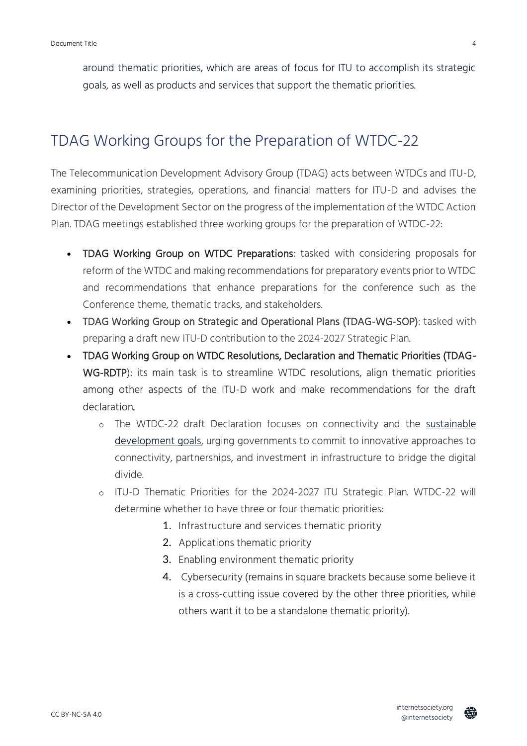around thematic priorities, which are areas of focus for ITU to accomplish its strategic goals, as well as products and services that support the thematic priorities.

# <span id="page-3-0"></span>TDAG Working Groups for the Preparation of WTDC-22

The Telecommunication Development Advisory Group (TDAG) acts between WTDCs and ITU-D, examining priorities, strategies, operations, and financial matters for ITU-D and advises the Director of the Development Sector on the progress of the implementation of the WTDC Action Plan. TDAG meetings established three working groups for the preparation of WTDC-22:

- TDAG Working Group on WTDC Preparations: tasked with considering proposals for reform of the WTDC and making recommendations for preparatory events prior to WTDC and recommendations that enhance preparations for the conference such as the Conference theme, thematic tracks, and stakeholders.
- TDAG Working Group on Strategic and Operational Plans (TDAG-WG-SOP): tasked with preparing a draft new ITU-D contribution to the 2024-2027 Strategic Plan.
- TDAG Working Group on WTDC Resolutions, Declaration and Thematic Priorities (TDAG-WG-RDTP): its main task is to streamline WTDC resolutions, align thematic priorities among other aspects of the ITU-D work and make recommendations for the draft declaration.
	- o The WTDC-22 draft Declaration focuses on connectivity and the [sustainable](https://sdgs.un.org/goals)  [development goals,](https://sdgs.un.org/goals) urging governments to commit to innovative approaches to connectivity, partnerships, and investment in infrastructure to bridge the digital divide.
	- o ITU-D Thematic Priorities for the 2024-2027 ITU Strategic Plan. WTDC-22 will determine whether to have three or four thematic priorities:
		- 1. Infrastructure and services thematic priority
		- 2. Applications thematic priority
		- 3. Enabling environment thematic priority
		- 4. Cybersecurity (remains in square brackets because some believe it is a cross-cutting issue covered by the other three priorities, while others want it to be a standalone thematic priority).

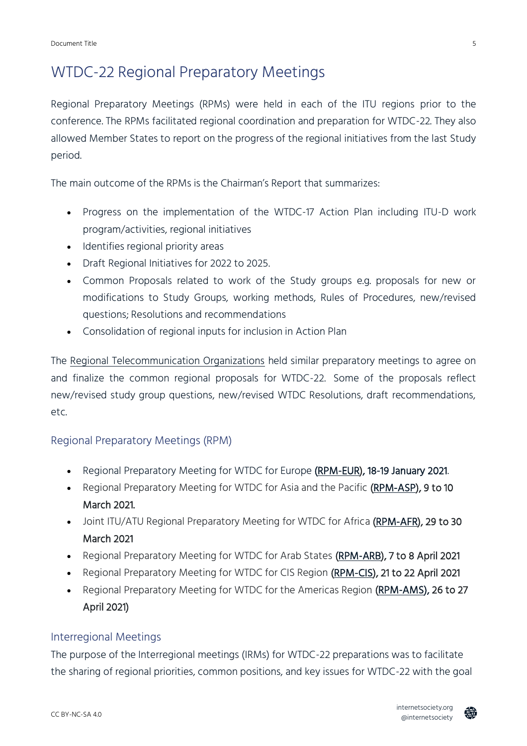# <span id="page-4-0"></span>WTDC-22 Regional Preparatory Meetings

Regional Preparatory Meetings (RPMs) were held in each of the ITU regions prior to the conference. The RPMs facilitated regional coordination and preparation for WTDC-22. They also allowed Member States to report on the progress of the regional initiatives from the last Study period.

The main outcome of the RPMs is the Chairman's Report that summarizes:

- Progress on the implementation of the WTDC-17 Action Plan including ITU-D work program/activities, regional initiatives
- Identifies regional priority areas
- Draft Regional Initiatives for 2022 to 2025.
- Common Proposals related to work of the Study groups e.g. proposals for new or modifications to Study Groups, working methods, Rules of Procedures, new/revised questions; Resolutions and recommendations
- Consolidation of regional inputs for inclusion in Action Plan

The [Regional Telecommunication Organizations](https://www.itu.int/en/ITU-D/Conferences/WTDC/WTDC17/pages/rto.aspx) held similar preparatory meetings to agree on and finalize the common regional proposals for WTDC-22. Some of the proposals reflect new/revised study group questions, new/revised WTDC Resolutions, draft recommendations, etc.

#### <span id="page-4-1"></span>Regional Preparatory Meetings (RPM)

- Regional Preparatory Meeting for WTDC for Europe [\(RPM-EUR\)](https://www.itu.int/en/ITU-D/Conferences/WTDC/WTDC21/Pages/RPM-EUR.aspx), 18-19 January 2021.
- Regional Preparatory Meeting for WTDC for Asia and the Pacific [\(RPM-ASP\)](https://www.itu.int/en/ITU-D/Conferences/WTDC/WTDC21/Pages/RPM-ASP.aspx), 9 to 10 March 2021.
- Joint ITU/ATU Regional Preparatory Meeting for WTDC for Africa [\(RPM-AFR\)](https://www.itu.int/en/ITU-D/Conferences/WTDC/WTDC21/Pages/RPM-AFR.aspx), 29 to 30 March 2021
- Regional Preparatory Meeting for WTDC for Arab States [\(RPM-ARB\)](https://www.itu.int/en/ITU-D/Conferences/WTDC/WTDC21/Pages/RPM-ARB.aspx), 7 to 8 April 2021
- Regional Preparatory Meeting for WTDC for CIS Region [\(RPM-CIS\)](https://www.itu.int/en/ITU-D/Conferences/WTDC/WTDC21/Pages/RPM-CIS.aspx), 21 to 22 April 2021
- Regional Preparatory Meeting for WTDC for the Americas Region [\(RPM-AMS\)](https://www.itu.int/en/ITU-D/Conferences/WTDC/WTDC21/Pages/RPM-AMS.aspx), 26 to 27 April 2021)

#### <span id="page-4-2"></span>Interregional Meetings

The purpose of the Interregional meetings (IRMs) for WTDC-22 preparations was to facilitate the sharing of regional priorities, common positions, and key issues for WTDC-22 with the goal

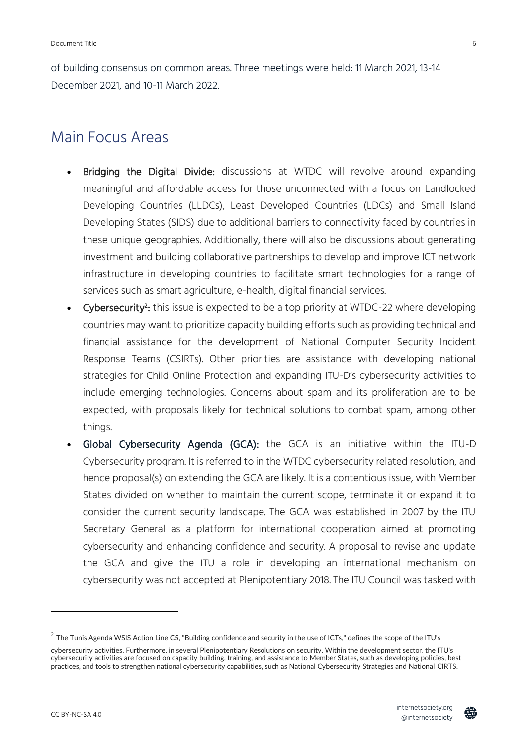of building consensus on common areas. Three meetings were held: 11 March 2021, 13-14 December 2021, and 10-11 March 2022.

### <span id="page-5-0"></span>Main Focus Areas

- Bridging the Digital Divide: discussions at WTDC will revolve around expanding meaningful and affordable access for those unconnected with a focus on Landlocked Developing Countries (LLDCs), Least Developed Countries (LDCs) and Small Island Developing States (SIDS) due to additional barriers to connectivity faced by countries in these unique geographies. Additionally, there will also be discussions about generating investment and building collaborative partnerships to develop and improve ICT network infrastructure in developing countries to facilitate smart technologies for a range of services such as smart agriculture, e-health, digital financial services.
- Cybersecurity<sup>2</sup>: this issue is expected to be a top priority at WTDC-22 where developing countries may want to prioritize capacity building efforts such as providing technical and financial assistance for the development of National Computer Security Incident Response Teams (CSIRTs). Other priorities are assistance with developing national strategies for Child Online Protection and expanding ITU-D's cybersecurity activities to include emerging technologies. Concerns about spam and its proliferation are to be expected, with proposals likely for technical solutions to combat spam, among other things.
- Global Cybersecurity Agenda (GCA): the GCA is an initiative within the ITU-D Cybersecurity program. It is referred to in the WTDC cybersecurity related resolution, and hence proposal(s) on extending the GCA are likely. It is a contentious issue, with Member States divided on whether to maintain the current scope, terminate it or expand it to consider the current security landscape. The GCA was established in 2007 by the ITU Secretary General as a platform for international cooperation aimed at promoting cybersecurity and enhancing confidence and security. A proposal to revise and update the GCA and give the ITU a role in developing an international mechanism on cybersecurity was not accepted at Plenipotentiary 2018. The ITU Council was tasked with



 $^2$  The Tunis Agenda WSIS Action Line C5, "Building confidence and security in the use of ICTs," defines the scope of the ITU's

cybersecurity activities. Furthermore, in several Plenipotentiary Resolutions on security. Within the development sector, the ITU's cybersecurity activities are focused on capacity building, training, and assistance to Member States, such as developing policies, best practices, and tools to strengthen national cybersecurity capabilities, such as National Cybersecurity Strategies and National CIRTS.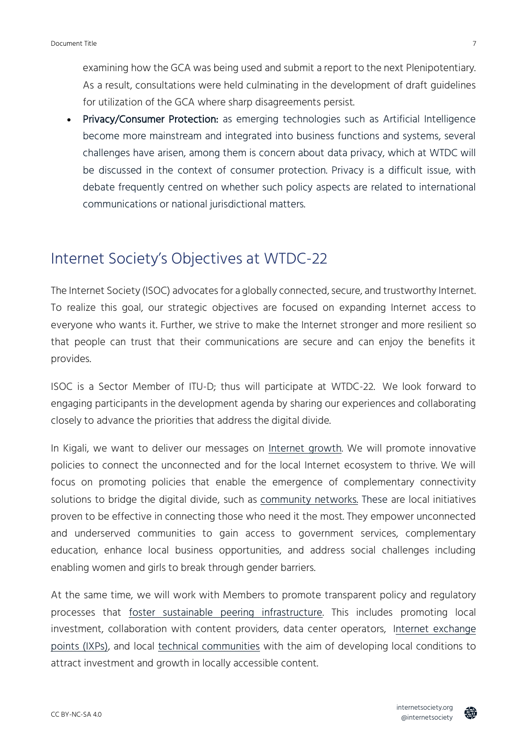examining how the GCA was being used and submit a report to the next Plenipotentiary. As a result, consultations were held culminating in the development of draft guidelines for utilization of the GCA where sharp disagreements persist.

• Privacy/Consumer Protection: as emerging technologies such as Artificial Intelligence become more mainstream and integrated into business functions and systems, several challenges have arisen, among them is concern about data privacy, which at WTDC will be discussed in the context of consumer protection. Privacy is a difficult issue, with debate frequently centred on whether such policy aspects are related to international communications or national jurisdictional matters.

#### <span id="page-6-0"></span>Internet Society's Objectives at WTDC-22

The Internet Society (ISOC) advocates for a globally connected, secure, and trustworthy Internet. To realize this goal, our strategic objectives are focused on expanding Internet access to everyone who wants it. Further, we strive to make the Internet stronger and more resilient so that people can trust that their communications are secure and can enjoy the benefits it provides.

ISOC is a Sector Member of ITU-D; thus will participate at WTDC-22. We look forward to engaging participants in the development agenda by sharing our experiences and collaborating closely to advance the priorities that address the digital divide.

In Kigali, we want to deliver our messages on [Internet growth.](https://www.internetsociety.org/issues/access/) We will promote innovative policies to connect the unconnected and for the local Internet ecosystem to thrive. We will focus on promoting policies that enable the emergence of complementary connectivity solutions to bridge the digital divide, such as [community networks.](https://www.internetsociety.org/action-plan/2022/community-networks/) These are local initiatives proven to be effective in connecting those who need it the most. They empower unconnected and underserved communities to gain access to government services, complementary education, enhance local business opportunities, and address social challenges including enabling women and girls to break through gender barriers.

At the same time, we will work with Members to promote transparent policy and regulatory processes that [foster sustainable peering infrastructure.](https://www.internetsociety.org/action-plan/2022/sustainable-peering-infrastructure/) This includes promoting local investment, collaboration with content providers, data center operators, [Internet exchange](https://www.internetsociety.org/issues/ixps/)  [points \(IXPs\),](https://www.internetsociety.org/issues/ixps/) and local [technical communities](https://www.internetsociety.org/action-plan/2022/sustainable-technical-community/) with the aim of developing local conditions to attract investment and growth in locally accessible content.